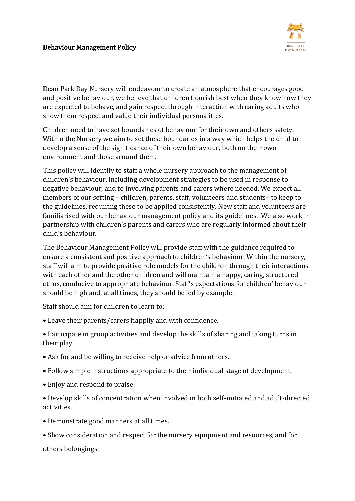

Dean Park Day Nursery will endeavour to create an atmosphere that encourages good and positive behaviour, we believe that children flourish best when they know how they are expected to behave, and gain respect through interaction with caring adults who show them respect and value their individual personalities.

Children need to have set boundaries of behaviour for their own and others safety. Within the Nursery we aim to set these boundaries in a way which helps the child to develop a sense of the significance of their own behaviour, both on their own environment and those around them.

This policy will identify to staff a whole nursery approach to the management of children's behaviour, including development strategies to be used in response to negative behaviour, and to involving parents and carers where needed. We expect all members of our setting – children, parents, staff, volunteers and students– to keep to the guidelines, requiring these to be applied consistently. New staff and volunteers are familiarised with our behaviour management policy and its guidelines. We also work in partnership with children's parents and carers who are regularly informed about their child's behaviour.

The Behaviour Management Policy will provide staff with the guidance required to ensure a consistent and positive approach to children's behaviour. Within the nursery, staff will aim to provide positive role models for the children through their interactions with each other and the other children and will maintain a happy, caring, structured ethos, conducive to appropriate behaviour. Staff's expectations for children' behaviour should be high and, at all times, they should be led by example.

Staff should aim for children to learn to:

• Leave their parents/carers happily and with confidence.

• Participate in group activities and develop the skills of sharing and taking turns in their play.

- Ask for and be willing to receive help or advice from others.
- Follow simple instructions appropriate to their individual stage of development.
- Enjoy and respond to praise.

• Develop skills of concentration when involved in both self‐initiated and adult‐directed activities.

- Demonstrate good manners at all times.
- Show consideration and respect for the nursery equipment and resources, and for

others belongings.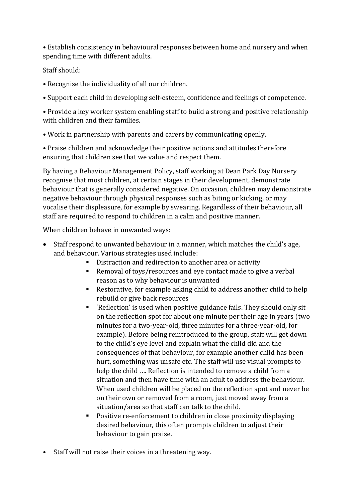• Establish consistency in behavioural responses between home and nursery and when spending time with different adults.

## Staff should:

- Recognise the individuality of all our children.
- Support each child in developing self‐esteem, confidence and feelings of competence.

• Provide a key worker system enabling staff to build a strong and positive relationship with children and their families.

• Work in partnership with parents and carers by communicating openly.

• Praise children and acknowledge their positive actions and attitudes therefore ensuring that children see that we value and respect them.

By having a Behaviour Management Policy, staff working at Dean Park Day Nursery recognise that most children, at certain stages in their development, demonstrate behaviour that is generally considered negative. On occasion, children may demonstrate negative behaviour through physical responses such as biting or kicking, or may vocalise their displeasure, for example by swearing. Regardless of their behaviour, all staff are required to respond to children in a calm and positive manner.

When children behave in unwanted ways:

- Staff respond to unwanted behaviour in a manner, which matches the child's age, and behaviour. Various strategies used include:
	- Distraction and redirection to another area or activity
	- Removal of toys/resources and eye contact made to give a verbal reason as to why behaviour is unwanted
	- Restorative, for example asking child to address another child to help rebuild or give back resources
	- 'Reflection' is used when positive guidance fails. They should only sit on the reflection spot for about one minute per their age in years (two minutes for a two-year-old, three minutes for a three-year-old, for example). Before being reintroduced to the group, staff will get down to the child's eye level and explain what the child did and the consequences of that behaviour, for example another child has been hurt, something was unsafe etc. The staff will use visual prompts to help the child …. Reflection is intended to remove a child from a situation and then have time with an adult to address the behaviour. When used children will be placed on the reflection spot and never be on their own or removed from a room, just moved away from a situation/area so that staff can talk to the child.
	- Positive re-enforcement to children in close proximity displaying desired behaviour, this often prompts children to adjust their behaviour to gain praise.
- Staff will not raise their voices in a threatening way.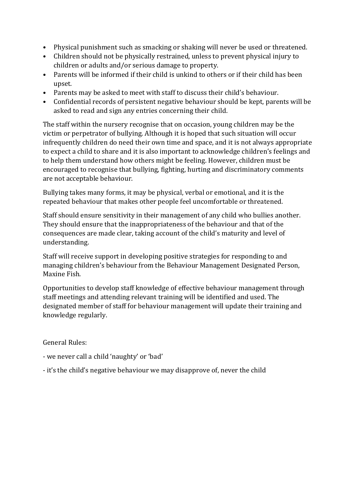- Physical punishment such as smacking or shaking will never be used or threatened.
- Children should not be physically restrained, unless to prevent physical injury to children or adults and/or serious damage to property.
- Parents will be informed if their child is unkind to others or if their child has been upset.
- Parents may be asked to meet with staff to discuss their child's behaviour.
- Confidential records of persistent negative behaviour should be kept, parents will be asked to read and sign any entries concerning their child.

The staff within the nursery recognise that on occasion, young children may be the victim or perpetrator of bullying. Although it is hoped that such situation will occur infrequently children do need their own time and space, and it is not always appropriate to expect a child to share and it is also important to acknowledge children's feelings and to help them understand how others might be feeling. However, children must be encouraged to recognise that bullying, fighting, hurting and discriminatory comments are not acceptable behaviour.

Bullying takes many forms, it may be physical, verbal or emotional, and it is the repeated behaviour that makes other people feel uncomfortable or threatened.

Staff should ensure sensitivity in their management of any child who bullies another. They should ensure that the inappropriateness of the behaviour and that of the consequences are made clear, taking account of the child's maturity and level of understanding.

Staff will receive support in developing positive strategies for responding to and managing children's behaviour from the Behaviour Management Designated Person, Maxine Fish.

Opportunities to develop staff knowledge of effective behaviour management through staff meetings and attending relevant training will be identified and used. The designated member of staff for behaviour management will update their training and knowledge regularly.

General Rules:

- we never call a child 'naughty' or 'bad'
- it's the child's negative behaviour we may disapprove of, never the child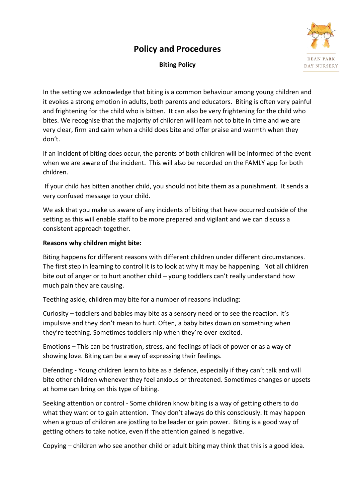## **Policy and Procedures**



## **Biting Policy**

In the setting we acknowledge that biting is a common behaviour among young children and it evokes a strong emotion in adults, both parents and educators. Biting is often very painful and frightening for the child who is bitten. It can also be very frightening for the child who bites. We recognise that the majority of children will learn not to bite in time and we are very clear, firm and calm when a child does bite and offer praise and warmth when they don't.

If an incident of biting does occur, the parents of both children will be informed of the event when we are aware of the incident. This will also be recorded on the FAMLY app for both children.

If your child has bitten another child, you should not bite them as a punishment. It sends a very confused message to your child.

We ask that you make us aware of any incidents of biting that have occurred outside of the setting as this will enable staff to be more prepared and vigilant and we can discuss a consistent approach together.

## **Reasons why children might bite:**

Biting happens for different reasons with different children under different circumstances. The first step in learning to control it is to look at why it may be happening. Not all children bite out of anger or to hurt another child - young toddlers can't really understand how much pain they are causing.

Teething aside, children may bite for a number of reasons including:

Curiosity – toddlers and babies may bite as a sensory need or to see the reaction. It's impulsive and they don't mean to hurt. Often, a baby bites down on something when they're teething. Sometimes toddlers nip when they're over-excited.

Emotions – This can be frustration, stress, and feelings of lack of power or as a way of showing love. Biting can be a way of expressing their feelings.

Defending - Young children learn to bite as a defence, especially if they can't talk and will bite other children whenever they feel anxious or threatened. Sometimes changes or upsets at home can bring on this type of biting.

Seeking attention or control - Some children know biting is a way of getting others to do what they want or to gain attention. They don't always do this consciously. It may happen when a group of children are jostling to be leader or gain power. Biting is a good way of getting others to take notice, even if the attention gained is negative.

Copying – children who see another child or adult biting may think that this is a good idea.